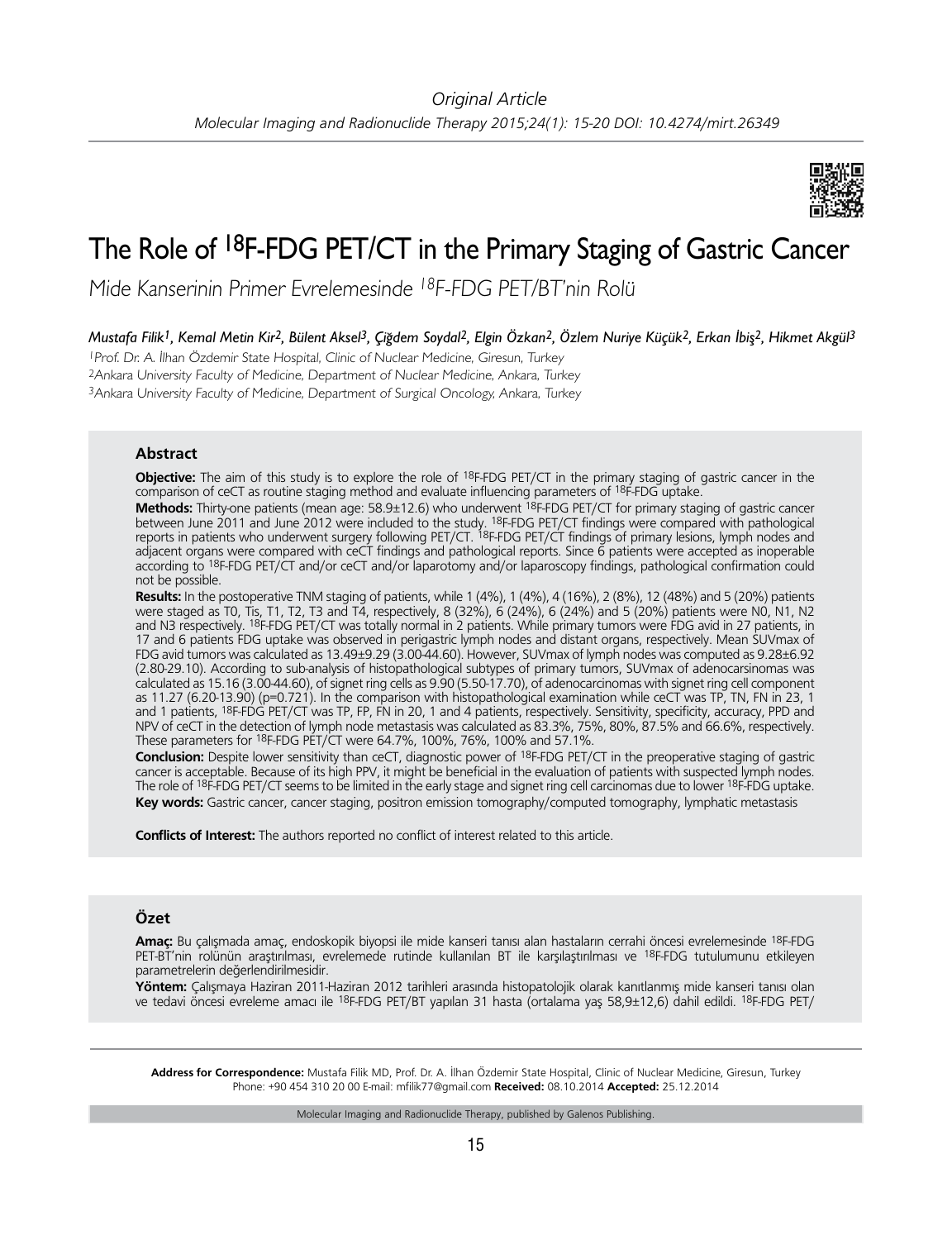

# The Role of <sup>18</sup>F-FDG PET/CT in the Primary Staging of Gastric Cancer

Mide Kanserinin Primer Evrelemesinde <sup>18</sup>F-FDG PET/BT'nin Rolü

*Mustafa Filik1, Kemal Metin Kir2, Bülent Aksel3, Çiğdem Soydal2, Elgin Özkan2, Özlem Nuriye Küçük2, Erkan İbiş2, Hikmet Akgül3*

<sup>1</sup>Prof. Dr. A. İlhan Özdemir State Hospital, Clinic of Nuclear Medicine, Giresun, Turkey <sup>2</sup>Ankara University Faculty of Medicine, Department of Nuclear Medicine, Ankara, Turkey 3Ankara University Faculty of Medicine, Department of Surgical Oncology, Ankara, Turkey

# **Abstract**

**Objective:** The aim of this study is to explore the role of 18F-FDG PET/CT in the primary staging of gastric cancer in the comparison of ceCT as routine staging method and evaluate influencing parameters of 18F-FDG uptake.

**Methods:** Thirty-one patients (mean age: 58.9±12.6) who underwent 18F-FDG PET/CT for primary staging of gastric cancer between June 2011 and June 2012 were included to the study. 18F-FDG PET/CT findings were compared with pathological reports in patients who underwent surgery following PET/CT. 18F-FDG PET/CT findings of primary lesions, lymph nodes and adjacent organs were compared with ceCT findings and pathological reports. Since 6 patients were accepted as inoperable according to 18F-FDG PET/CT and/or ceCT and/or laparotomy and/or laparoscopy findings, pathological confirmation could not be possible.

**Results:** In the postoperative TNM staging of patients, while 1 (4%), 1 (4%), 4 (16%), 2 (8%), 12 (48%) and 5 (20%) patients were staged as T0, Tis, T1, T2, T3 and T4, respectively, 8 (32%), 6 (24%), 6 (24%) and 5 (20%) patients were N0, N1, N2 and N3 respectively. 18F-FDG PET/CT was totally normal in 2 patients. While primary tumors were FDG avid in 27 patients, in 17 and 6 patients FDG uptake was observed in perigastric lymph nodes and distant organs, respectively. Mean SUVmax of FDG avid tumors was calculated as 13.49±9.29 (3.00-44.60). However, SUVmax of lymph nodes was computed as 9.28±6.92 (2.80-29.10). According to sub-analysis of histopathological subtypes of primary tumors, SUVmax of adenocarsinomas was calculated as 15.16 (3.00-44.60), of signet ring cells as 9.90 (5.50-17.70), of adenocarcinomas with signet ring cell component as 11.27 (6.20-13.90) (p=0.721). In the comparison with histopathological examination while ceCT was TP, TN, FN in 23, 1 and 1 patients, <sup>18F</sup>-FDG PET/CT was TP, FP, FN in 20, 1 and 4 patients, respectively. Sensitivity, specificity, accuracy, PPD and NPV of ceCT in the detection of lymph node metastasis was calculated as 83.3%, 75%, 80%, 87.5% and 66.6%, respectively. These parameters for 18F-FDG PET/CT were 64.7%, 100%, 76%, 100% and 57.1%.

**Conclusion:** Despite lower sensitivity than ceCT, diagnostic power of 18F-FDG PET/CT in the preoperative staging of gastric cancer is acceptable. Because of its high PPV, it might be beneficial in the evaluation of patients with suspected lymph nodes. The role of <sup>18</sup>F-FDG PET/CT seems to be limited in the early stage and signet ring cell carcinomas due to lower <sup>18</sup>F-FDG uptake. **Key words:** Gastric cancer, cancer staging, positron emission tomography/computed tomography, lymphatic metastasis

**Conflicts of Interest:** The authors reported no conflict of interest related to this article.

# **Özet**

**Amaç:** Bu çalışmada amaç, endoskopik biyopsi ile mide kanseri tanısı alan hastaların cerrahi öncesi evrelemesinde 18F-FDG PET-BT'nin rolünün araştırılması, evrelemede rutinde kullanılan BT ile karşılaştırılması ve 18F-FDG tutulumunu etkileyen parametrelerin değerlendirilmesidir.

**Yöntem:** Çalışmaya Haziran 2011-Haziran 2012 tarihleri arasında histopatolojik olarak kanıtlanmış mide kanseri tanısı olan ve tedavi öncesi evreleme amacı ile 18F-FDG PET/BT yapılan 31 hasta (ortalama yaş 58,9±12,6) dahil edildi. 18F-FDG PET/

**Address for Correspondence:** Mustafa Filik MD, Prof. Dr. A. İlhan Özdemir State Hospital, Clinic of Nuclear Medicine, Giresun, Turkey Phone: +90 454 310 20 00 E-mail: mfilik77@gmail.com **Received:** 08.10.2014 **Accepted:** 25.12.2014

Molecular Imaging and Radionuclide Therapy, published by Galenos Publishing.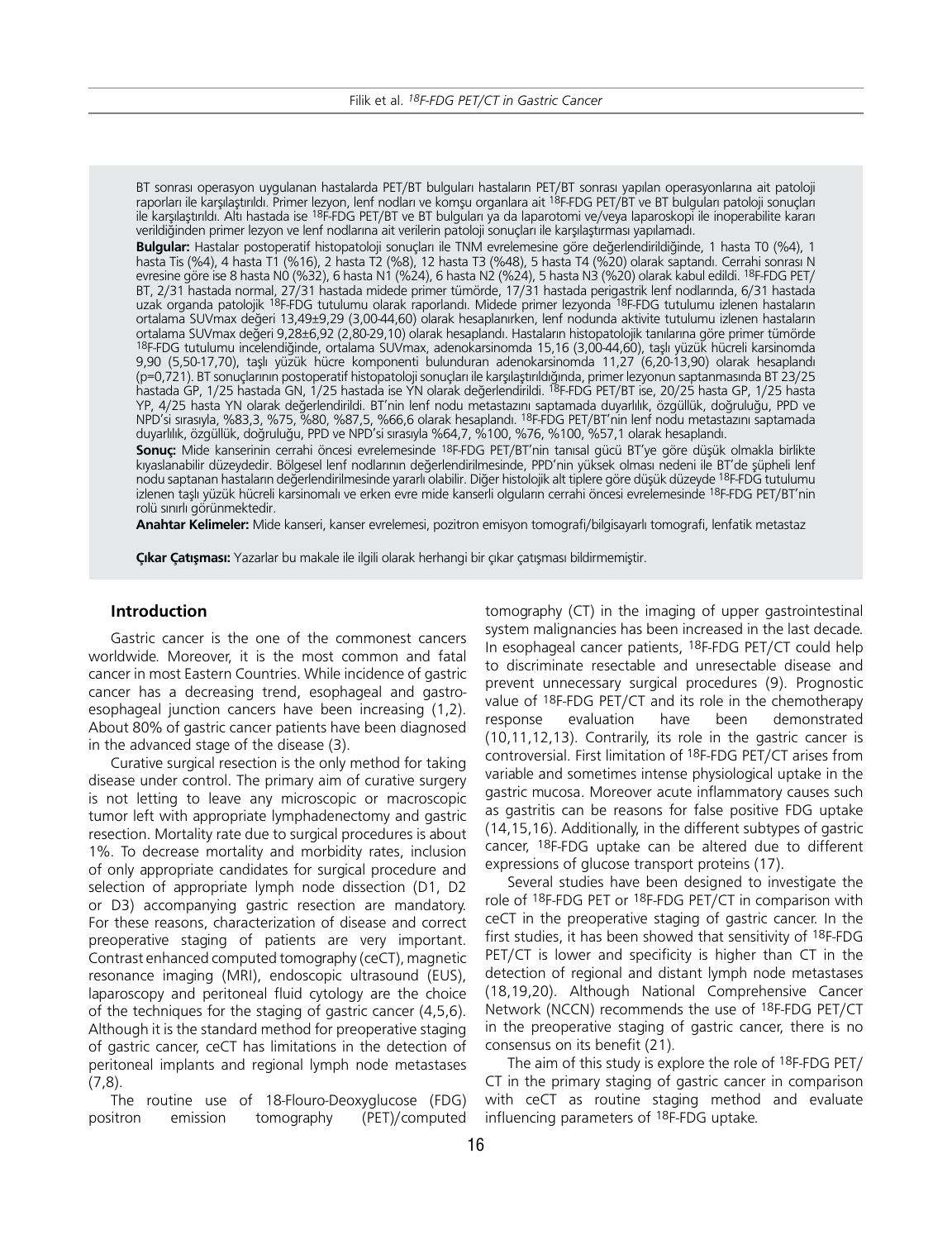BT sonrası operasyon uygulanan hastalarda PET/BT bulguları hastaların PET/BT sonrası yapılan operasyonlarına ait patoloji raporları ile karşılaştırıldı. Primer lezyon, lenf nodları ve komşu organlara ait 18F-FDG PET/BT ve BT bulguları patoloji sonuçları ile karşılaştırıldı. Altı hastada ise 18F-FDG PET/BT ve BT bulguları ya da laparotomi ve/veya laparoskopi ile inoperabilite kararı verildiğinden primer lezyon ve lenf nodlarına ait verilerin patoloji sonuçları ile karşılaştırması yapılamadı.

**Bulgular:** Hastalar postoperatif histopatoloji sonuçları ile TNM evrelemesine göre değerlendirildiğinde, 1 hasta T0 (%4), 1 hasta Tis (%4), 4 hasta T1 (%16), 2 hasta T2 (%8), 12 hasta T3 (%48), 5 hasta T4 (%20) olarak saptandı. Cerrahi sonrası N evresine göre ise 8 hasta N0 (%32), 6 hasta N1 (%24), 6 hasta N2 (%24), 5 hasta N3 (%20) olarak kabul edildi. 18F-FDG PET/ BT, 2/31 hastada normal, 27/31 hastada midede primer tümörde, 17/31 hastada perigastrik lenf nodlarında, 6/31 hastada uzak organda patolojik <sup>18</sup>F-FDG tutulumu olarak raporlandı. Midede primer lezyonda <sup>18</sup>F-FDG tutulumu izlenen hastaların ortalama SUVmax değeri 13,49±9,29 (3,00-44,60) olarak hesaplanırken, lenf nodunda aktivite tutulumu izlenen hastaların ortalama SUVmax değeri 9,28±6,92 (2,80-29,10) olarak hesaplandı. Hastaların histopatolojik tanılarına göre primer tümörde 18F-FDG tutulumu incelendiğinde, ortalama SUVmax, adenokarsinomda 15,16 (3,00-44,60), taşlı yüzük hücreli karsinomda 9,90 (5,50-17,70), taşlı yüzük hücre komponenti bulunduran adenokarsinomda 11,27 (6,20-13,90) olarak hesaplandı (p=0,721). BT sonuçlarının postoperatif histopatoloji sonuçları ile karşılaştırıldığında, primer lezyonun saptanmasında BT 23/25 hastada GP, 1/25 hastada GN, 1/25 hastada ise YN olarak değerlendirildi. 18F-FDG PET/BT ise, 20/25 hasta GP, 1/25 hasta YP, 4/25 hasta YN olarak değerlendirildi. BT'nin lenf nodu metastazını saptamada duyarlılık, özgüllük, doğruluğu, PPD ve NPD'si sırasıyla, %83,3, %75, %80, %87,5, %66,6 olarak hesaplandı. 18F-FDG PET/BT'nin lenf nodu metastazını saptamada duyarlılık, özgüllük, doğruluğu, PPD ve NPD'si sırasıyla %64,7, %100, %76, %100, %57,1 olarak hesaplandı.

**Sonuç:** Mide kanserinin cerrahi öncesi evrelemesinde 18F-FDG PET/BT'nin tanısal gücü BT'ye göre düşük olmakla birlikte kıyaslanabilir düzeydedir. Bölgesel lenf nodlarının değerlendirilmesinde, PPD'nin yüksek olması nedeni ile BT'de şüpheli lenf nodu saptanan hastaların değerlendirilmesinde yararlı olabilir. Diğer histolojik alt tiplere göre düşük düzeyde 18F-FDG tutulumu izlenen taşlı yüzük hücreli karsinomalı ve erken evre mide kanserli olguların cerrahi öncesi evrelemesinde <sup>18</sup>F-FDG PET/BT'nin rolü sınırlı görünmektedir.

**Anahtar Kelimeler:** Mide kanseri, kanser evrelemesi, pozitron emisyon tomografi/bilgisayarlı tomografi, lenfatik metastaz

**Çıkar Çatışması:** Yazarlar bu makale ile ilgili olarak herhangi bir çıkar çatışması bildirmemiştir.

# **Introduction**

Gastric cancer is the one of the commonest cancers worldwide. Moreover, it is the most common and fatal cancer in most Eastern Countries. While incidence of gastric cancer has a decreasing trend, esophageal and gastroesophageal junction cancers have been increasing (1,2). About 80% of gastric cancer patients have been diagnosed in the advanced stage of the disease (3).

Curative surgical resection is the only method for taking disease under control. The primary aim of curative surgery is not letting to leave any microscopic or macroscopic tumor left with appropriate lymphadenectomy and gastric resection. Mortality rate due to surgical procedures is about 1%. To decrease mortality and morbidity rates, inclusion of only appropriate candidates for surgical procedure and selection of appropriate lymph node dissection (D1, D2 or D3) accompanying gastric resection are mandatory. For these reasons, characterization of disease and correct preoperative staging of patients are very important. Contrast enhanced computed tomography (ceCT), magnetic resonance imaging (MRI), endoscopic ultrasound (EUS), laparoscopy and peritoneal fluid cytology are the choice of the techniques for the staging of gastric cancer (4,5,6). Although it is the standard method for preoperative staging of gastric cancer, ceCT has limitations in the detection of peritoneal implants and regional lymph node metastases (7,8).

The routine use of 18-Flouro-Deoxyglucose (FDG) positron emission tomography (PET)/computed

tomography (CT) in the imaging of upper gastrointestinal system malignancies has been increased in the last decade. In esophageal cancer patients, 18F-FDG PET/CT could help to discriminate resectable and unresectable disease and prevent unnecessary surgical procedures (9). Prognostic value of 18F-FDG PET/CT and its role in the chemotherapy response evaluation have been demonstrated (10,11,12,13). Contrarily, its role in the gastric cancer is controversial. First limitation of 18F-FDG PET/CT arises from variable and sometimes intense physiological uptake in the gastric mucosa. Moreover acute inflammatory causes such as gastritis can be reasons for false positive FDG uptake (14,15,16). Additionally, in the different subtypes of gastric cancer, 18F-FDG uptake can be altered due to different expressions of glucose transport proteins (17).

Several studies have been designed to investigate the role of 18F-FDG PET or 18F-FDG PET/CT in comparison with ceCT in the preoperative staging of gastric cancer. In the first studies, it has been showed that sensitivity of 18F-FDG PET/CT is lower and specificity is higher than CT in the detection of regional and distant lymph node metastases (18,19,20). Although National Comprehensive Cancer Network (NCCN) recommends the use of 18F-FDG PET/CT in the preoperative staging of gastric cancer, there is no consensus on its benefit (21).

The aim of this study is explore the role of 18F-FDG PET/ CT in the primary staging of gastric cancer in comparison with ceCT as routine staging method and evaluate influencing parameters of 18F-FDG uptake.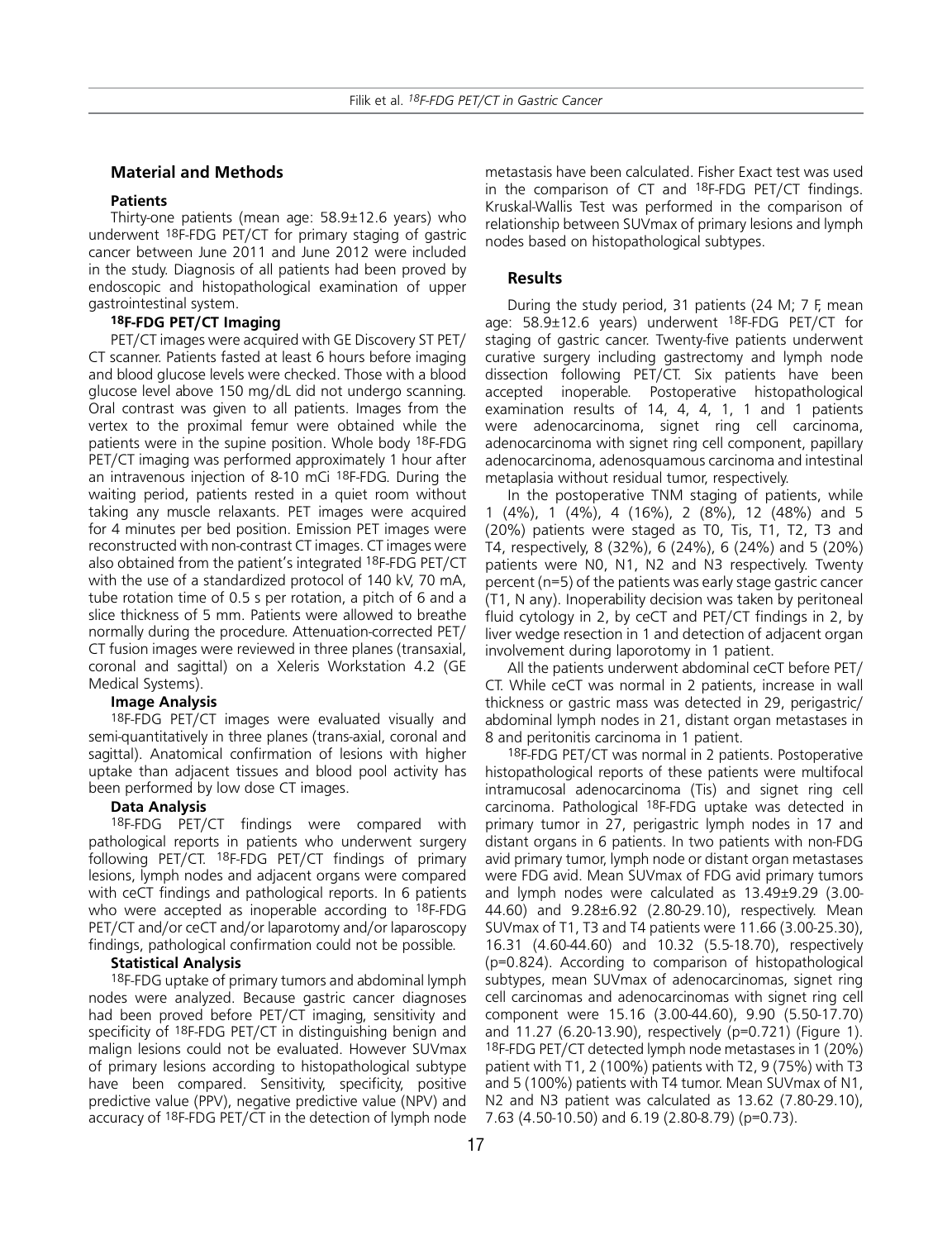#### **Material and Methods**

#### **Patients**

Thirty-one patients (mean age: 58.9±12.6 years) who underwent 18F-FDG PET/CT for primary staging of gastric cancer between June 2011 and June 2012 were included in the study. Diagnosis of all patients had been proved by endoscopic and histopathological examination of upper gastrointestinal system.

#### **18F-FDG PET/CT Imaging**

PET/CT images were acquired with GE Discovery ST PET/ CT scanner. Patients fasted at least 6 hours before imaging and blood glucose levels were checked. Those with a blood glucose level above 150 mg/dL did not undergo scanning. Oral contrast was given to all patients. Images from the vertex to the proximal femur were obtained while the patients were in the supine position. Whole body 18F-FDG PET/CT imaging was performed approximately 1 hour after an intravenous injection of 8-10 mCi 18F-FDG. During the waiting period, patients rested in a quiet room without taking any muscle relaxants. PET images were acquired for 4 minutes per bed position. Emission PET images were reconstructed with non-contrast CT images. CT images were also obtained from the patient's integrated 18F-FDG PET/CT with the use of a standardized protocol of 140 kV, 70 mA, tube rotation time of 0.5 s per rotation, a pitch of 6 and a slice thickness of 5 mm. Patients were allowed to breathe normally during the procedure. Attenuation-corrected PET/ CT fusion images were reviewed in three planes (transaxial, coronal and sagittal) on a Xeleris Workstation 4.2 (GE Medical Systems).

#### **Image Analysis**

18F-FDG PET/CT images were evaluated visually and semi-quantitatively in three planes (trans-axial, coronal and sagittal). Anatomical confirmation of lesions with higher uptake than adjacent tissues and blood pool activity has been performed by low dose CT images.

#### **Data Analysis**

18F-FDG PET/CT findings were compared with pathological reports in patients who underwent surgery following PET/CT. 18F-FDG PET/CT findings of primary lesions, lymph nodes and adjacent organs were compared with ceCT findings and pathological reports. In 6 patients who were accepted as inoperable according to 18F-FDG PET/CT and/or ceCT and/or laparotomy and/or laparoscopy findings, pathological confirmation could not be possible.

#### **Statistical Analysis**

18F-FDG uptake of primary tumors and abdominal lymph nodes were analyzed. Because gastric cancer diagnoses had been proved before PET/CT imaging, sensitivity and specificity of 18F-FDG PET/CT in distinguishing benign and malign lesions could not be evaluated. However SUVmax of primary lesions according to histopathological subtype have been compared. Sensitivity, specificity, positive predictive value (PPV), negative predictive value (NPV) and accuracy of 18F-FDG PET/CT in the detection of lymph node

metastasis have been calculated. Fisher Exact test was used in the comparison of CT and 18F-FDG PET/CT findings. Kruskal-Wallis Test was performed in the comparison of relationship between SUVmax of primary lesions and lymph nodes based on histopathological subtypes.

### **Results**

During the study period, 31 patients (24 M; 7 F, mean age: 58.9±12.6 years) underwent 18F-FDG PET/CT for staging of gastric cancer. Twenty-five patients underwent curative surgery including gastrectomy and lymph node dissection following PET/CT. Six patients have been accepted inoperable. Postoperative histopathological examination results of 14, 4, 4, 1, 1 and 1 patients were adenocarcinoma, signet ring cell carcinoma, adenocarcinoma with signet ring cell component, papillary adenocarcinoma, adenosquamous carcinoma and intestinal metaplasia without residual tumor, respectively.

In the postoperative TNM staging of patients, while 1 (4%), 1 (4%), 4 (16%), 2 (8%), 12 (48%) and 5 (20%) patients were staged as T0, Tis, T1, T2, T3 and T4, respectively, 8 (32%), 6 (24%), 6 (24%) and 5 (20%) patients were N0, N1, N2 and N3 respectively. Twenty percent (n=5) of the patients was early stage gastric cancer (T1, N any). Inoperability decision was taken by peritoneal fluid cytology in 2, by ceCT and PET/CT findings in 2, by liver wedge resection in 1 and detection of adjacent organ involvement during laporotomy in 1 patient.

All the patients underwent abdominal ceCT before PET/ CT. While ceCT was normal in 2 patients, increase in wall thickness or gastric mass was detected in 29, perigastric/ abdominal lymph nodes in 21, distant organ metastases in 8 and peritonitis carcinoma in 1 patient.

18F-FDG PET/CT was normal in 2 patients. Postoperative histopathological reports of these patients were multifocal intramucosal adenocarcinoma (Tis) and signet ring cell carcinoma. Pathological 18F-FDG uptake was detected in primary tumor in 27, perigastric lymph nodes in 17 and distant organs in 6 patients. In two patients with non-FDG avid primary tumor, lymph node or distant organ metastases were FDG avid. Mean SUVmax of FDG avid primary tumors and lymph nodes were calculated as 13.49±9.29 (3.00- 44.60) and 9.28±6.92 (2.80-29.10), respectively. Mean SUVmax of T1, T3 and T4 patients were 11.66 (3.00-25.30), 16.31 (4.60-44.60) and 10.32 (5.5-18.70), respectively (p=0.824). According to comparison of histopathological subtypes, mean SUVmax of adenocarcinomas, signet ring cell carcinomas and adenocarcinomas with signet ring cell component were 15.16 (3.00-44.60), 9.90 (5.50-17.70) and 11.27 (6.20-13.90), respectively (p=0.721) (Figure 1). 18F-FDG PET/CT detected lymph node metastases in 1 (20%) patient with T1, 2 (100%) patients with T2, 9 (75%) with T3 and 5 (100%) patients with T4 tumor. Mean SUVmax of N1, N2 and N3 patient was calculated as 13.62 (7.80-29.10), 7.63 (4.50-10.50) and 6.19 (2.80-8.79) (p=0.73).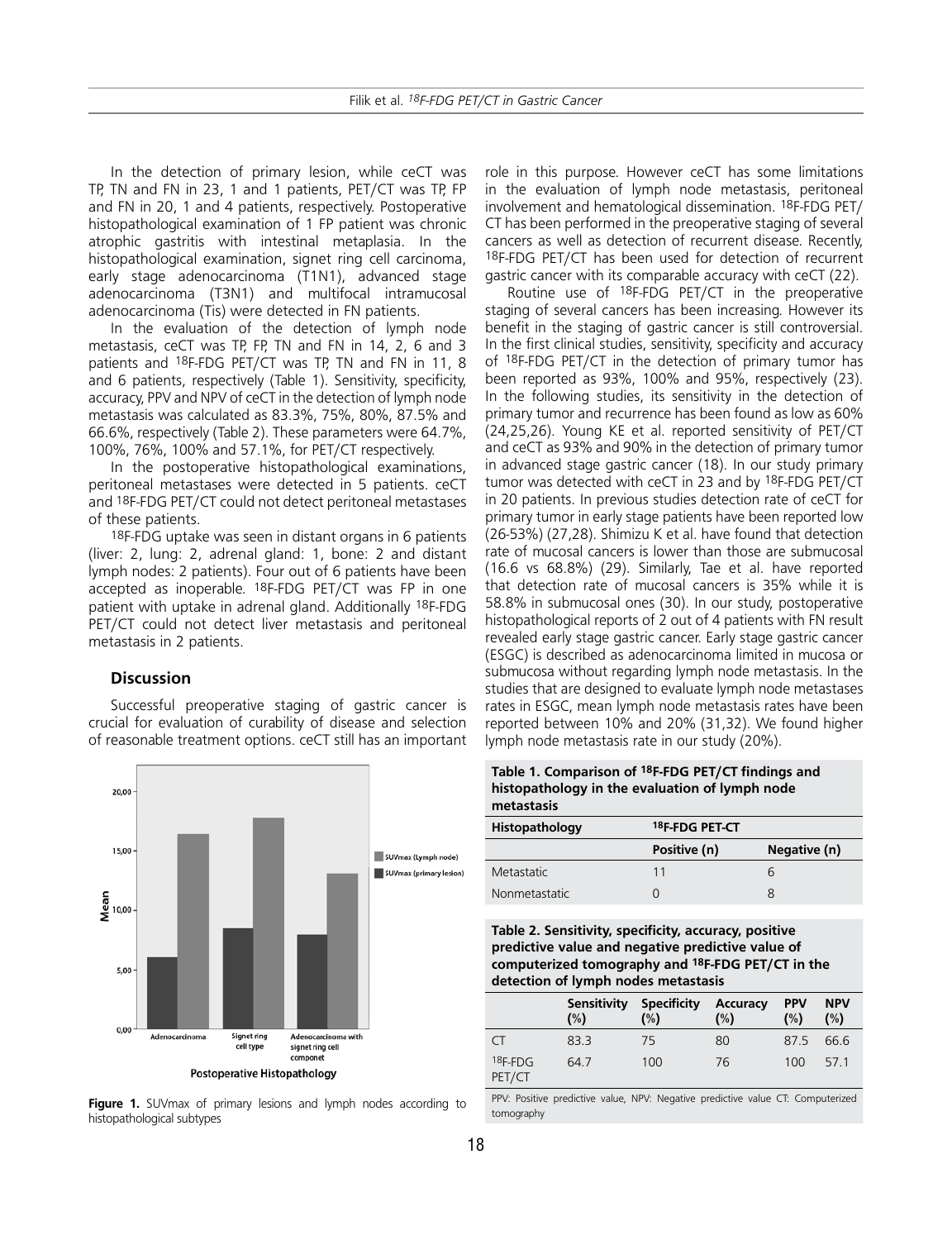In the detection of primary lesion, while ceCT was TP, TN and FN in 23, 1 and 1 patients, PET/CT was TP, FP and FN in 20, 1 and 4 patients, respectively. Postoperative histopathological examination of 1 FP patient was chronic atrophic gastritis with intestinal metaplasia. In the histopathological examination, signet ring cell carcinoma, early stage adenocarcinoma (T1N1), advanced stage adenocarcinoma (T3N1) and multifocal intramucosal adenocarcinoma (Tis) were detected in FN patients.

In the evaluation of the detection of lymph node metastasis, ceCT was TP, FP, TN and FN in 14, 2, 6 and 3 patients and 18F-FDG PET/CT was TP, TN and FN in 11, 8 and 6 patients, respectively (Table 1). Sensitivity, specificity, accuracy, PPV and NPV of ceCT in the detection of lymph node metastasis was calculated as 83.3%, 75%, 80%, 87.5% and 66.6%, respectively (Table 2). These parameters were 64.7%, 100%, 76%, 100% and 57.1%, for PET/CT respectively.

In the postoperative histopathological examinations, peritoneal metastases were detected in 5 patients. ceCT and 18F-FDG PET/CT could not detect peritoneal metastases of these patients.

18F-FDG uptake was seen in distant organs in 6 patients (liver: 2, lung: 2, adrenal gland: 1, bone: 2 and distant lymph nodes: 2 patients). Four out of 6 patients have been accepted as inoperable. 18F-FDG PET/CT was FP in one patient with uptake in adrenal gland. Additionally 18F-FDG PET/CT could not detect liver metastasis and peritoneal metastasis in 2 patients.

# **Discussion**

Successful preoperative staging of gastric cancer is crucial for evaluation of curability of disease and selection of reasonable treatment options. ceCT still has an important



**Figure 1.** SUVmax of primary lesions and lymph nodes according to histopathological subtypes

role in this purpose. However ceCT has some limitations in the evaluation of lymph node metastasis, peritoneal involvement and hematological dissemination. 18F-FDG PET/ CT has been performed in the preoperative staging of several cancers as well as detection of recurrent disease. Recently, 18F-FDG PET/CT has been used for detection of recurrent gastric cancer with its comparable accuracy with ceCT (22).

Routine use of 18F-FDG PET/CT in the preoperative staging of several cancers has been increasing. However its benefit in the staging of gastric cancer is still controversial. In the first clinical studies, sensitivity, specificity and accuracy of 18F-FDG PET/CT in the detection of primary tumor has been reported as 93%, 100% and 95%, respectively (23). In the following studies, its sensitivity in the detection of primary tumor and recurrence has been found as low as 60% (24,25,26). Young KE et al. reported sensitivity of PET/CT and ceCT as 93% and 90% in the detection of primary tumor in advanced stage gastric cancer (18). In our study primary tumor was detected with ceCT in 23 and by 18F-FDG PET/CT in 20 patients. In previous studies detection rate of ceCT for primary tumor in early stage patients have been reported low (26-53%) (27,28). Shimizu K et al. have found that detection rate of mucosal cancers is lower than those are submucosal (16.6 vs 68.8%) (29). Similarly, Tae et al. have reported that detection rate of mucosal cancers is 35% while it is 58.8% in submucosal ones (30). In our study, postoperative histopathological reports of 2 out of 4 patients with FN result revealed early stage gastric cancer. Early stage gastric cancer (ESGC) is described as adenocarcinoma limited in mucosa or submucosa without regarding lymph node metastasis. In the studies that are designed to evaluate lymph node metastases rates in ESGC, mean lymph node metastasis rates have been reported between 10% and 20% (31,32). We found higher lymph node metastasis rate in our study (20%).

**Table 1. Comparison of 18F-FDG PET/CT findings and histopathology in the evaluation of lymph node metastasis**

| Histopathology | 18F-FDG PET-CT |              |  |  |
|----------------|----------------|--------------|--|--|
|                | Positive (n)   | Negative (n) |  |  |
| Metastatic     | 11             |              |  |  |
| Nonmetastatic  |                |              |  |  |

**Table 2. Sensitivity, specificity, accuracy, positive predictive value and negative predictive value of computerized tomography and 18F-FDG PET/CT in the detection of lymph nodes metastasis** 

|                     | Sensitivity<br>(%) | <b>Specificity</b><br>(%) | Accuracy<br>(%) | <b>PPV</b><br>(%) | <b>NPV</b><br>(%) |
|---------------------|--------------------|---------------------------|-----------------|-------------------|-------------------|
| $\subset$           | 83.3               | 75                        | 80              | 87.5              | 66.6              |
| $18F-FDG$<br>PET/CT | 64.7               | 100                       | 76              | 100               | 571               |

PPV: Positive predictive value, NPV: Negative predictive value CT: Computerized tomography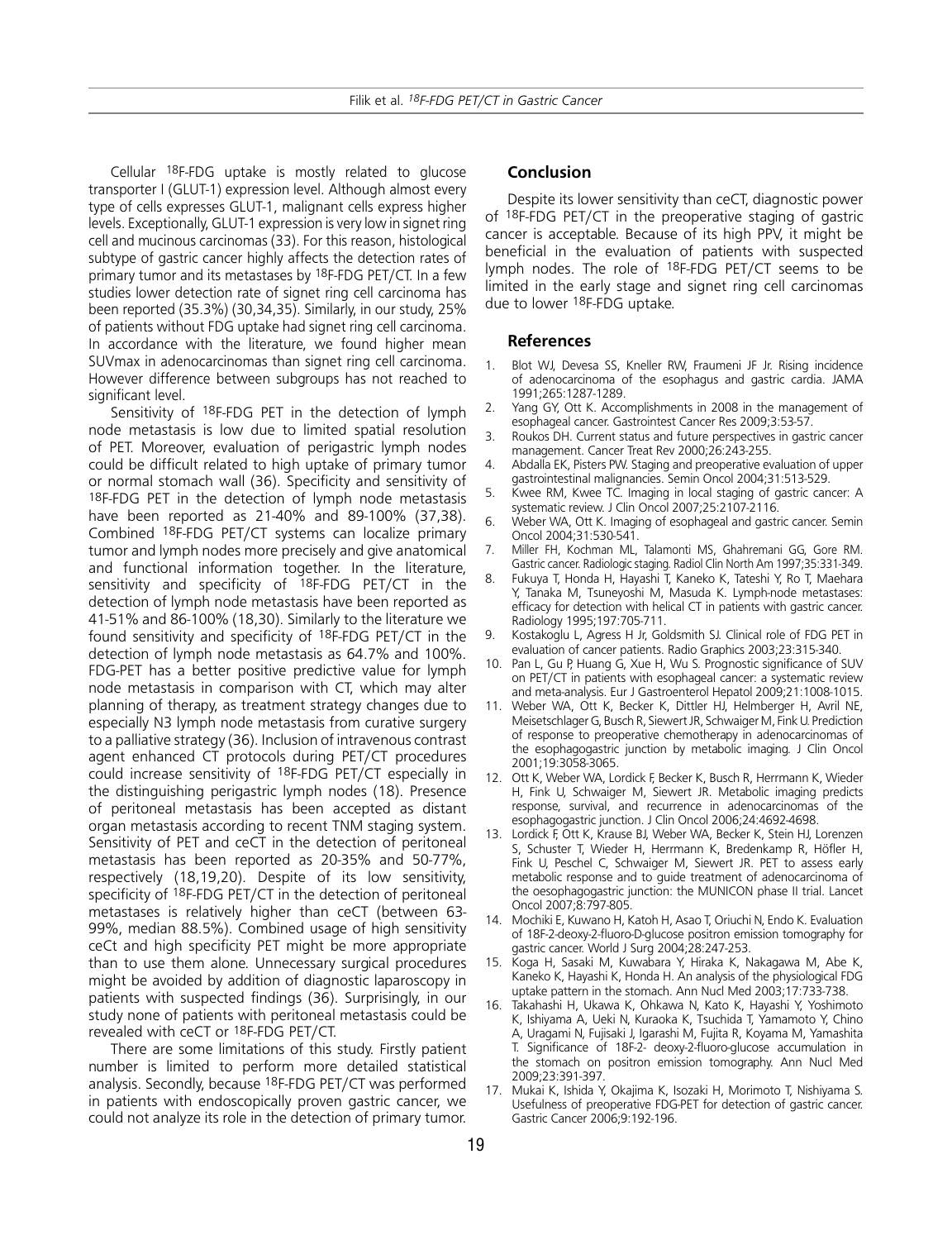Cellular 18F-FDG uptake is mostly related to glucose transporter I (GLUT-1) expression level. Although almost every type of cells expresses GLUT-1, malignant cells express higher levels. Exceptionally, GLUT-1 expression is very low in signet ring cell and mucinous carcinomas (33). For this reason, histological subtype of gastric cancer highly affects the detection rates of primary tumor and its metastases by 18F-FDG PET/CT. In a few studies lower detection rate of signet ring cell carcinoma has been reported (35.3%) (30,34,35). Similarly, in our study, 25% of patients without FDG uptake had signet ring cell carcinoma. In accordance with the literature, we found higher mean SUVmax in adenocarcinomas than signet ring cell carcinoma. However difference between subgroups has not reached to significant level.

Sensitivity of 18F-FDG PET in the detection of lymph node metastasis is low due to limited spatial resolution of PET. Moreover, evaluation of perigastric lymph nodes could be difficult related to high uptake of primary tumor or normal stomach wall (36). Specificity and sensitivity of 18F-FDG PET in the detection of lymph node metastasis have been reported as 21-40% and 89-100% (37,38). Combined 18F-FDG PET/CT systems can localize primary tumor and lymph nodes more precisely and give anatomical and functional information together. In the literature, sensitivity and specificity of <sup>18</sup>F-FDG PET/CT in the detection of lymph node metastasis have been reported as 41-51% and 86-100% (18,30). Similarly to the literature we found sensitivity and specificity of 18F-FDG PET/CT in the detection of lymph node metastasis as 64.7% and 100%. FDG-PET has a better positive predictive value for lymph node metastasis in comparison with CT, which may alter planning of therapy, as treatment strategy changes due to especially N3 lymph node metastasis from curative surgery to a palliative strategy (36). Inclusion of intravenous contrast agent enhanced CT protocols during PET/CT procedures could increase sensitivity of 18F-FDG PET/CT especially in the distinguishing perigastric lymph nodes (18). Presence of peritoneal metastasis has been accepted as distant organ metastasis according to recent TNM staging system. Sensitivity of PET and ceCT in the detection of peritoneal metastasis has been reported as 20-35% and 50-77%, respectively (18,19,20). Despite of its low sensitivity, specificity of 18F-FDG PET/CT in the detection of peritoneal metastases is relatively higher than ceCT (between 63- 99%, median 88.5%). Combined usage of high sensitivity ceCt and high specificity PET might be more appropriate than to use them alone. Unnecessary surgical procedures might be avoided by addition of diagnostic laparoscopy in patients with suspected findings (36). Surprisingly, in our study none of patients with peritoneal metastasis could be revealed with ceCT or 18F-FDG PET/CT.

There are some limitations of this study. Firstly patient number is limited to perform more detailed statistical analysis. Secondly, because 18F-FDG PET/CT was performed in patients with endoscopically proven gastric cancer, we could not analyze its role in the detection of primary tumor.

#### **Conclusion**

Despite its lower sensitivity than ceCT, diagnostic power of 18F-FDG PET/CT in the preoperative staging of gastric cancer is acceptable. Because of its high PPV, it might be beneficial in the evaluation of patients with suspected lymph nodes. The role of 18F-FDG PET/CT seems to be limited in the early stage and signet ring cell carcinomas due to lower 18F-FDG uptake.

# **References**

- 1. Blot WJ, Devesa SS, Kneller RW, Fraumeni JF Jr. Rising incidence of adenocarcinoma of the esophagus and gastric cardia. JAMA 1991;265:1287-1289.
- 2. Yang GY, Ott K. Accomplishments in 2008 in the management of esophageal cancer. Gastrointest Cancer Res 2009;3:53-57.
- 3. Roukos DH. Current status and future perspectives in gastric cancer management. Cancer Treat Rev 2000;26:243-255.
- 4. Abdalla EK, Pisters PW. Staging and preoperative evaluation of upper gastrointestinal malignancies. Semin Oncol 2004;31:513-529.
- 5. Kwee RM, Kwee TC. Imaging in local staging of gastric cancer: A systematic review. J Clin Oncol 2007;25:2107-2116.
- 6. Weber WA, Ott K. Imaging of esophageal and gastric cancer. Semin Oncol 2004;31:530-541.
- 7. Miller FH, Kochman ML, Talamonti MS, Ghahremani GG, Gore RM. Gastric cancer. Radiologic staging. Radiol Clin North Am 1997;35:331-349.
- 8. Fukuya T, Honda H, Hayashi T, Kaneko K, Tateshi Y, Ro T, Maehara Y, Tanaka M, Tsuneyoshi M, Masuda K. Lymph-node metastases: efficacy for detection with helical CT in patients with gastric cancer. Radiology 1995;197:705-711.
- Kostakoglu L, Agress H Jr, Goldsmith SJ. Clinical role of FDG PET in evaluation of cancer patients. Radio Graphics 2003;23:315-340.
- 10. Pan L, Gu P, Huang G, Xue H, Wu S. Prognostic significance of SUV on PET/CT in patients with esophageal cancer: a systematic review and meta-analysis. Eur J Gastroenterol Hepatol 2009;21:1008-1015.
- 11. Weber WA, Ott K, Becker K, Dittler HJ, Helmberger H, Avril NE, Meisetschlager G, Busch R, Siewert JR, Schwaiger M, Fink U. Prediction of response to preoperative chemotherapy in adenocarcinomas of the esophagogastric junction by metabolic imaging. J Clin Oncol 2001;19:3058-3065.
- 12. Ott K, Weber WA, Lordick F, Becker K, Busch R, Herrmann K, Wieder H, Fink U, Schwaiger M, Siewert JR. Metabolic imaging predicts response, survival, and recurrence in adenocarcinomas of the esophagogastric junction. J Clin Oncol 2006;24:4692-4698.
- 13. Lordick F, Ott K, Krause BJ, Weber WA, Becker K, Stein HJ, Lorenzen S, Schuster T, Wieder H, Herrmann K, Bredenkamp R, Höfler H, Fink U, Peschel C, Schwaiger M, Siewert JR. PET to assess early metabolic response and to guide treatment of adenocarcinoma of the oesophagogastric junction: the MUNICON phase II trial. Lancet Oncol 2007;8:797-805.
- 14. Mochiki E, Kuwano H, Katoh H, Asao T, Oriuchi N, Endo K. Evaluation of 18F-2-deoxy-2-fluoro-D-glucose positron emission tomography for gastric cancer. World J Surg 2004;28:247-253.
- 15. Koga H, Sasaki M, Kuwabara Y, Hiraka K, Nakagawa M, Abe K, Kaneko K, Hayashi K, Honda H. An analysis of the physiological FDG uptake pattern in the stomach. Ann Nucl Med 2003;17:733-738.
- 16. Takahashi H, Ukawa K, Ohkawa N, Kato K, Hayashi Y, Yoshimoto K, Ishiyama A, Ueki N, Kuraoka K, Tsuchida T, Yamamoto Y, Chino A, Uragami N, Fujisaki J, Igarashi M, Fujita R, Koyama M, Yamashita T. Significance of 18F-2- deoxy-2-fluoro-glucose accumulation in the stomach on positron emission tomography. Ann Nucl Med 2009;23:391-397.
- 17. Mukai K, Ishida Y, Okajima K, Isozaki H, Morimoto T, Nishiyama S. Usefulness of preoperative FDG-PET for detection of gastric cancer. Gastric Cancer 2006;9:192-196.